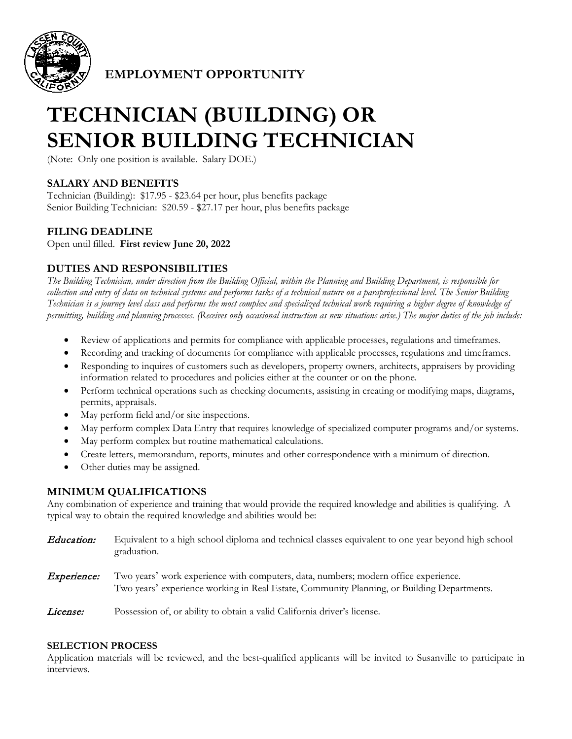

**EMPLOYMENT OPPORTUNITY**

# **TECHNICIAN (BUILDING) OR SENIOR BUILDING TECHNICIAN**

(Note: Only one position is available. Salary DOE.)

### **SALARY AND BENEFITS**

Technician (Building): \$17.95 - \$23.64 per hour, plus benefits package Senior Building Technician: \$20.59 - \$27.17 per hour, plus benefits package

#### **FILING DEADLINE**

Open until filled. **First review June 20, 2022** 

#### **DUTIES AND RESPONSIBILITIES**

*The Building Technician, under direction from the Building Official, within the Planning and Building Department, is responsible for collection and entry of data on technical systems and performs tasks of a technical nature on a paraprofessional level. The Senior Building Technician is a journey level class and performs the most complex and specialized technical work requiring a higher degree of knowledge of permitting, building and planning processes. (Receives only occasional instruction as new situations arise.) The major duties of the job include:*

- Review of applications and permits for compliance with applicable processes, regulations and timeframes.
- Recording and tracking of documents for compliance with applicable processes, regulations and timeframes.
- Responding to inquires of customers such as developers, property owners, architects, appraisers by providing information related to procedures and policies either at the counter or on the phone.
- Perform technical operations such as checking documents, assisting in creating or modifying maps, diagrams, permits, appraisals.
- May perform field and/or site inspections.
- May perform complex Data Entry that requires knowledge of specialized computer programs and/or systems.
- May perform complex but routine mathematical calculations.
- Create letters, memorandum, reports, minutes and other correspondence with a minimum of direction.
- Other duties may be assigned.

#### **MINIMUM QUALIFICATIONS**

Any combination of experience and training that would provide the required knowledge and abilities is qualifying. A typical way to obtain the required knowledge and abilities would be:

- Education: Equivalent to a high school diploma and technical classes equivalent to one year beyond high school graduation.
- **Experience:** Two years' work experience with computers, data, numbers; modern office experience. Two years' experience working in Real Estate, Community Planning, or Building Departments.

License: Possession of, or ability to obtain a valid California driver's license.

#### **SELECTION PROCESS**

Application materials will be reviewed, and the best-qualified applicants will be invited to Susanville to participate in interviews.